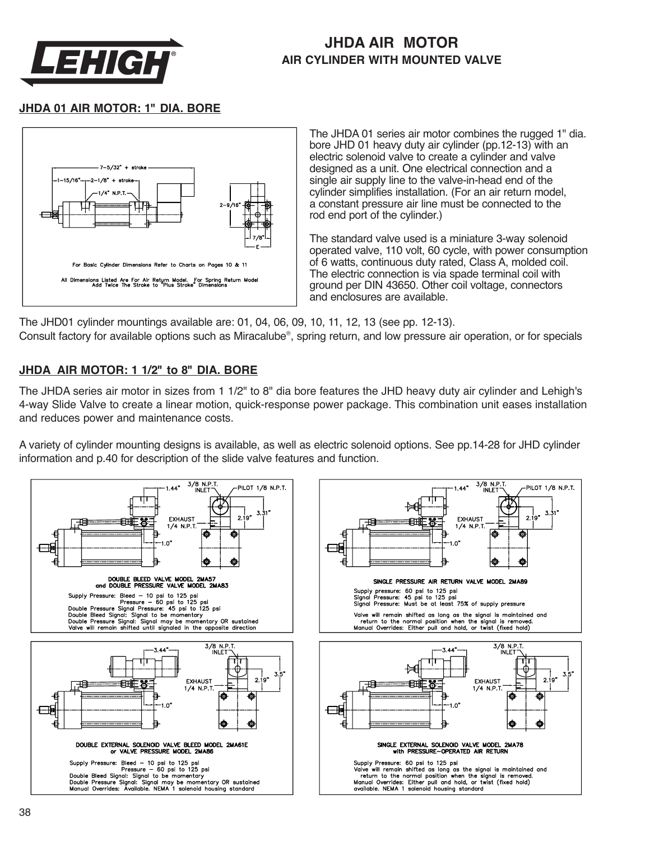

## **JHDA AIR MOTOR AIR CYLINDER WITH MOUNTED VALVE**

#### **JHDA 01 AIR MOTOR: 1" DIA. BORE**



The JHDA 01 series air motor combines the rugged 1" dia. bore JHD 01 heavy duty air cylinder (pp.12-13) with an electric solenoid valve to create a cylinder and valve designed as a unit. One electrical connection and a single air supply line to the valve-in-head end of the cylinder simplifies installation. (For an air return model, a constant pressure air line must be connected to the rod end port of the cylinder.)

The standard valve used is a miniature 3-way solenoid operated valve, 110 volt, 60 cycle, with power consumption of 6 watts, continuous duty rated, Class A, molded coil. The electric connection is via spade terminal coil with ground per DIN 43650. Other coil voltage, connectors and enclosures are available.

The JHD01 cylinder mountings available are: 01, 04, 06, 09, 10, 11, 12, 13 (see pp. 12-13). Consult factory for available options such as Miracalube®, spring return, and low pressure air operation, or for specials

#### **JHDA AIR MOTOR: 1 1/2" to 8" DIA. BORE**

The JHDA series air motor in sizes from 1 1/2" to 8" dia bore features the JHD heavy duty air cylinder and Lehigh's 4-way Slide Valve to create a linear motion, quick-response power package. This combination unit eases installation and reduces power and maintenance costs.

A variety of cylinder mounting designs is available, as well as electric solenoid options. See pp.14-28 for JHD cylinder information and p.40 for description of the slide valve features and function.

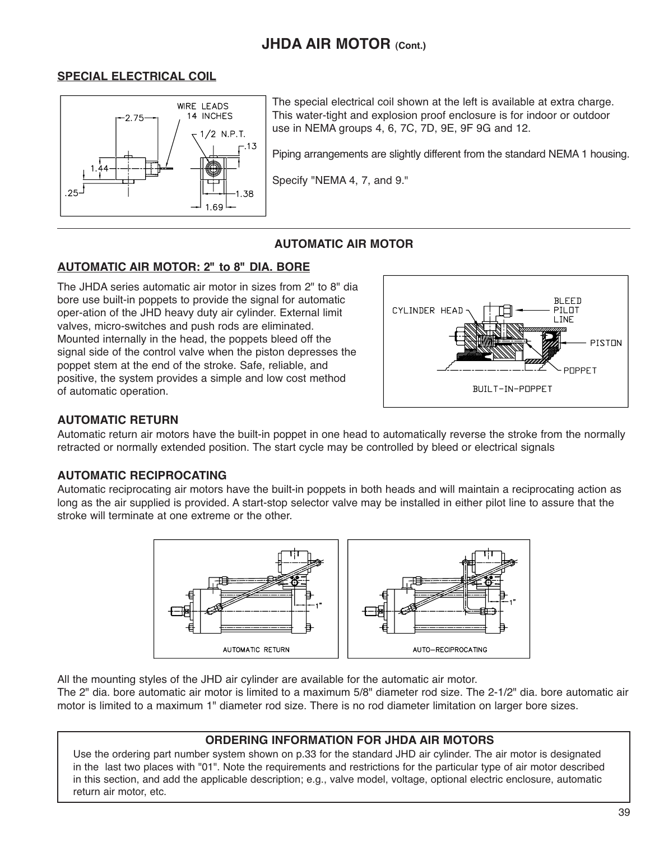# **JHDA AIR MOTOR (Cont.)**

#### **SPECIAL ELECTRICAL COIL**



The special electrical coil shown at the left is available at extra charge. This water-tight and explosion proof enclosure is for indoor or outdoor use in NEMA groups 4, 6, 7C, 7D, 9E, 9F 9G and 12.

Piping arrangements are slightly different from the standard NEMA 1 housing.

Specify "NEMA 4, 7, and 9."

#### **AUTOMATIC AIR MOTOR**

#### **AUTOMATIC AIR MOTOR: 2" to 8" DIA. BORE**

The JHDA series automatic air motor in sizes from 2" to 8" dia bore use built-in poppets to provide the signal for automatic oper-ation of the JHD heavy duty air cylinder. External limit valves, micro-switches and push rods are eliminated. Mounted internally in the head, the poppets bleed off the signal side of the control valve when the piston depresses the poppet stem at the end of the stroke. Safe, reliable, and positive, the system provides a simple and low cost method of automatic operation.



#### **AUTOMATIC RETURN**

Automatic return air motors have the built-in poppet in one head to automatically reverse the stroke from the normally retracted or normally extended position. The start cycle may be controlled by bleed or electrical signals

#### **AUTOMATIC RECIPROCATING**

Automatic reciprocating air motors have the built-in poppets in both heads and will maintain a reciprocating action as long as the air supplied is provided. A start-stop selector valve may be installed in either pilot line to assure that the stroke will terminate at one extreme or the other.



All the mounting styles of the JHD air cylinder are available for the automatic air motor.

The 2" dia. bore automatic air motor is limited to a maximum 5/8" diameter rod size. The 2-1/2" dia. bore automatic air motor is limited to a maximum 1" diameter rod size. There is no rod diameter limitation on larger bore sizes.

#### **ORDERING INFORMATION FOR JHDA AIR MOTORS**

Use the ordering part number system shown on p.33 for the standard JHD air cylinder. The air motor is designated in the last two places with "01". Note the requirements and restrictions for the particular type of air motor described in this section, and add the applicable description; e.g., valve model, voltage, optional electric enclosure, automatic return air motor, etc.